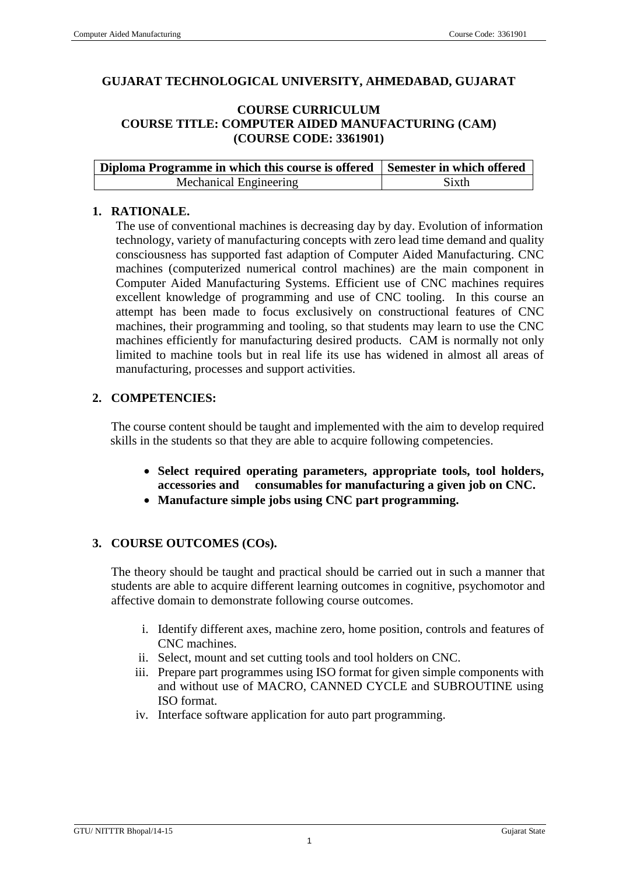### **GUJARAT TECHNOLOGICAL UNIVERSITY, AHMEDABAD, GUJARAT**

#### **COURSE CURRICULUM COURSE TITLE: COMPUTER AIDED MANUFACTURING (CAM) (COURSE CODE: 3361901)**

| Diploma Programme in which this course is offered   Semester in which offered |       |
|-------------------------------------------------------------------------------|-------|
| Mechanical Engineering                                                        | Sixth |

#### **1. RATIONALE.**

The use of conventional machines is decreasing day by day. Evolution of information technology, variety of manufacturing concepts with zero lead time demand and quality consciousness has supported fast adaption of Computer Aided Manufacturing. CNC machines (computerized numerical control machines) are the main component in Computer Aided Manufacturing Systems. Efficient use of CNC machines requires excellent knowledge of programming and use of CNC tooling. In this course an attempt has been made to focus exclusively on constructional features of CNC machines, their programming and tooling, so that students may learn to use the CNC machines efficiently for manufacturing desired products. CAM is normally not only limited to machine tools but in real life its use has widened in almost all areas of manufacturing, processes and support activities.

### **2. COMPETENCIES:**

The course content should be taught and implemented with the aim to develop required skills in the students so that they are able to acquire following competencies.

- **Select required operating parameters, appropriate tools, tool holders, accessories and consumables for manufacturing a given job on CNC.**
- **Manufacture simple jobs using CNC part programming.**

# **3. COURSE OUTCOMES (COs).**

The theory should be taught and practical should be carried out in such a manner that students are able to acquire different learning outcomes in cognitive, psychomotor and affective domain to demonstrate following course outcomes.

- i. Identify different axes, machine zero, home position, controls and features of CNC machines.
- ii. Select, mount and set cutting tools and tool holders on CNC.
- iii. Prepare part programmes using ISO format for given simple components with and without use of MACRO, CANNED CYCLE and SUBROUTINE using ISO format.
- iv. Interface software application for auto part programming.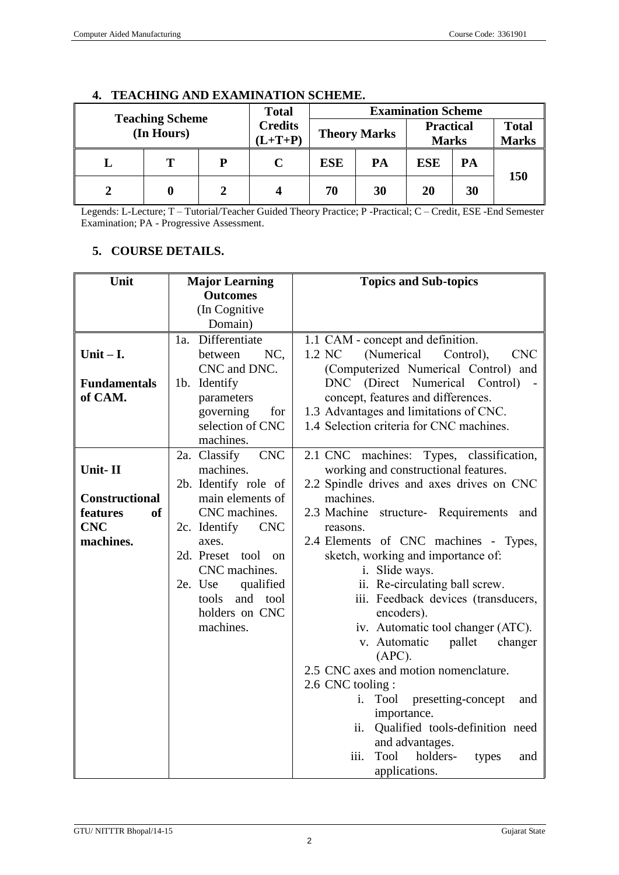|                                      |   | <b>Total</b>                | <b>Examination Scheme</b> |                     |                                  |            |                              |     |
|--------------------------------------|---|-----------------------------|---------------------------|---------------------|----------------------------------|------------|------------------------------|-----|
| <b>Teaching Scheme</b><br>(In Hours) |   | <b>Credits</b><br>$(L+T+P)$ |                           | <b>Theory Marks</b> | <b>Practical</b><br><b>Marks</b> |            | <b>Total</b><br><b>Marks</b> |     |
|                                      | т | D                           |                           | <b>ESE</b>          | PA                               | <b>ESE</b> | PA                           |     |
|                                      |   |                             |                           | 70                  | 30                               | 20         | 30                           | 150 |

#### **4. TEACHING AND EXAMINATION SCHEME.**

Legends: L-Lecture; T – Tutorial/Teacher Guided Theory Practice; P -Practical; C – Credit, ESE -End Semester Examination; PA - Progressive Assessment.

#### **5. COURSE DETAILS.**

| Unit                      | <b>Major Learning</b>                     | <b>Topics and Sub-topics</b>                                           |  |  |
|---------------------------|-------------------------------------------|------------------------------------------------------------------------|--|--|
|                           | <b>Outcomes</b>                           |                                                                        |  |  |
|                           | (In Cognitive)                            |                                                                        |  |  |
|                           | Domain)                                   |                                                                        |  |  |
|                           | Differentiate<br>1a.                      | 1.1 CAM - concept and definition.                                      |  |  |
| Unit $-I$ .               | NC.<br>between                            | (Numerical<br>Control),<br><b>CNC</b><br>1.2 NC                        |  |  |
|                           | CNC and DNC.                              | (Computerized Numerical Control) and                                   |  |  |
| <b>Fundamentals</b>       | 1b. Identify                              | (Direct Numerical Control)<br><b>DNC</b>                               |  |  |
| of CAM.                   | parameters                                | concept, features and differences.                                     |  |  |
|                           | governing<br>for                          | 1.3 Advantages and limitations of CNC.                                 |  |  |
|                           | selection of CNC                          | 1.4 Selection criteria for CNC machines.                               |  |  |
|                           | machines.                                 |                                                                        |  |  |
|                           | <b>CNC</b><br>2a. Classify                | 2.1 CNC machines: Types, classification,                               |  |  |
| Unit-II                   | machines.                                 | working and constructional features.                                   |  |  |
|                           | 2b. Identify role of                      | 2.2 Spindle drives and axes drives on CNC                              |  |  |
| <b>Constructional</b>     | main elements of                          | machines.                                                              |  |  |
| <sub>of</sub><br>features | CNC machines.                             | 2.3 Machine structure- Requirements<br>and                             |  |  |
| <b>CNC</b>                | 2c. Identify CNC                          | reasons.                                                               |  |  |
| machines.                 | axes.                                     | 2.4 Elements of CNC machines - Types,                                  |  |  |
|                           | 2d. Preset tool on                        | sketch, working and importance of:                                     |  |  |
|                           | CNC machines.                             | i. Slide ways.                                                         |  |  |
|                           | qualified<br>2e. Use<br>and tool<br>tools | ii. Re-circulating ball screw.                                         |  |  |
|                           | holders on CNC                            | iii. Feedback devices (transducers,                                    |  |  |
|                           | machines.                                 | encoders).                                                             |  |  |
|                           |                                           | iv. Automatic tool changer (ATC).<br>v. Automatic<br>changer<br>pallet |  |  |
|                           |                                           | $(APC)$ .                                                              |  |  |
|                           |                                           | 2.5 CNC axes and motion nomenclature.                                  |  |  |
|                           |                                           | 2.6 CNC tooling :                                                      |  |  |
|                           |                                           | presetting-concept<br>Tool<br>i.<br>and                                |  |  |
|                           |                                           | importance.                                                            |  |  |
|                           |                                           | ii.<br>Qualified tools-definition need                                 |  |  |
|                           |                                           | and advantages.                                                        |  |  |
|                           |                                           | iii.<br>Tool<br>holders-<br>types<br>and                               |  |  |
|                           |                                           | applications.                                                          |  |  |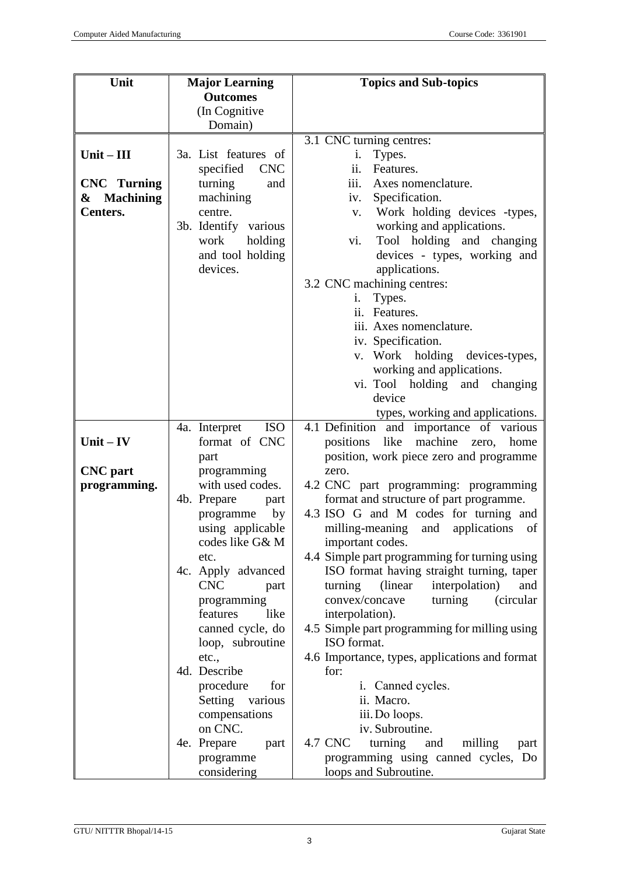| Unit                  | <b>Major Learning</b>        | <b>Topics and Sub-topics</b>                                                               |
|-----------------------|------------------------------|--------------------------------------------------------------------------------------------|
|                       | <b>Outcomes</b>              |                                                                                            |
|                       | (In Cognitive)               |                                                                                            |
|                       | Domain)                      |                                                                                            |
|                       |                              | 3.1 CNC turning centres:                                                                   |
| $Unit - III$          | 3a. List features of         | Types.<br>i.                                                                               |
|                       | specified<br><b>CNC</b>      | ii.<br>Features.                                                                           |
| <b>CNC</b> Turning    | turning<br>and               | iii.<br>Axes nomenclature.                                                                 |
| <b>Machining</b><br>& | machining                    | Specification.<br>iv.                                                                      |
| Centers.              | centre.                      | Work holding devices -types,<br>V.                                                         |
|                       | 3b. Identify various         | working and applications.                                                                  |
|                       | work<br>holding              | Tool holding and changing<br>vi.                                                           |
|                       | and tool holding<br>devices. | devices - types, working and                                                               |
|                       |                              | applications.<br>3.2 CNC machining centres:                                                |
|                       |                              | Types.<br>i.                                                                               |
|                       |                              | ii. Features.                                                                              |
|                       |                              | iii. Axes nomenclature.                                                                    |
|                       |                              | iv. Specification.                                                                         |
|                       |                              | v. Work holding devices-types,                                                             |
|                       |                              | working and applications.                                                                  |
|                       |                              | vi. Tool holding and changing                                                              |
|                       |                              | device                                                                                     |
|                       |                              | types, working and applications.                                                           |
|                       | <b>ISO</b><br>4a. Interpret  | 4.1 Definition and importance of various                                                   |
| $Unit - IV$           | format of CNC                | like machine zero,<br>positions<br>home                                                    |
|                       | part                         | position, work piece zero and programme                                                    |
| <b>CNC</b> part       | programming                  | zero.                                                                                      |
| programming.          | with used codes.             | 4.2 CNC part programming: programming                                                      |
|                       | 4b. Prepare<br>part          | format and structure of part programme.                                                    |
|                       | by<br>programme              | 4.3 ISO G and M codes for turning and                                                      |
|                       | using applicable             | applications<br>milling-meaning<br>and<br>of                                               |
|                       | codes like G& M              | important codes.                                                                           |
|                       | etc.<br>4c. Apply advanced   | 4.4 Simple part programming for turning using<br>ISO format having straight turning, taper |
|                       | <b>CNC</b><br>part           | interpolation)<br>turning<br>(linear)<br>and                                               |
|                       | programming                  | convex/concave<br>turning<br>(circular)                                                    |
|                       | features<br>like             | interpolation).                                                                            |
|                       | canned cycle, do             | 4.5 Simple part programming for milling using                                              |
|                       | loop, subroutine             | ISO format.                                                                                |
|                       | etc.,                        | 4.6 Importance, types, applications and format                                             |
|                       | 4d. Describe                 | for:                                                                                       |
|                       | procedure<br>for             | i. Canned cycles.                                                                          |
|                       | Setting<br>various           | ii. Macro.                                                                                 |
|                       | compensations                | iii. Do loops.                                                                             |
|                       | on CNC.                      | iv. Subroutine.                                                                            |
|                       | 4e. Prepare<br>part          | 4.7 CNC<br>turning<br>milling<br>and<br>part                                               |
|                       | programme                    | programming using canned cycles, Do                                                        |
|                       | considering                  | loops and Subroutine.                                                                      |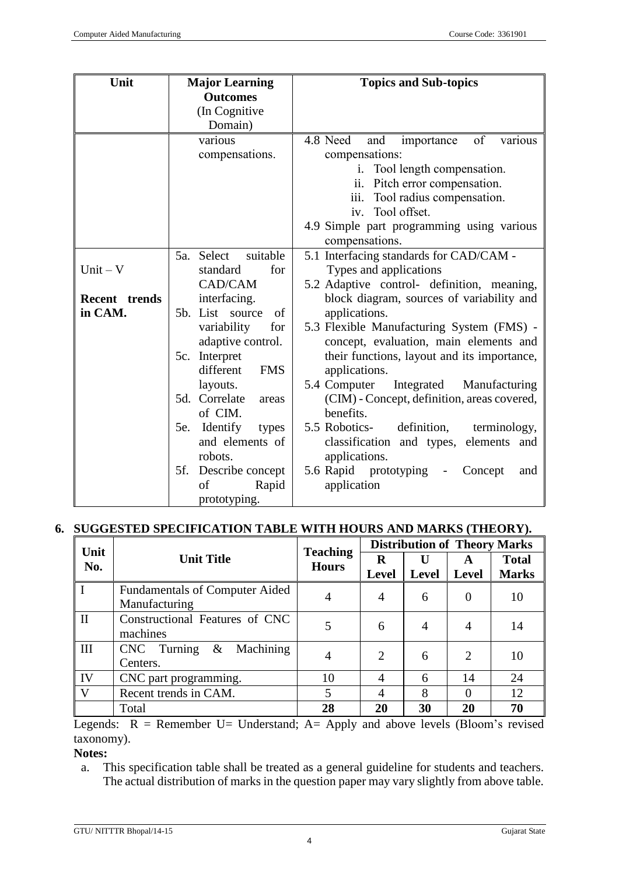| Unit          | <b>Major Learning</b>     | <b>Topics and Sub-topics</b>                                            |  |  |
|---------------|---------------------------|-------------------------------------------------------------------------|--|--|
|               | <b>Outcomes</b>           |                                                                         |  |  |
|               | (In Cognitive)            |                                                                         |  |  |
|               | Domain)                   |                                                                         |  |  |
|               | various                   | 4.8 Need<br>of<br>and<br>importance<br>various                          |  |  |
|               |                           |                                                                         |  |  |
|               | compensations.            | compensations:                                                          |  |  |
|               |                           | i. Tool length compensation.                                            |  |  |
|               |                           | ii. Pitch error compensation.                                           |  |  |
|               |                           | Tool radius compensation.<br>iii.                                       |  |  |
|               |                           | Tool offset.<br>$iv_{-}$                                                |  |  |
|               |                           | 4.9 Simple part programming using various                               |  |  |
|               |                           | compensations.                                                          |  |  |
|               | Select suitable<br>5a.    | 5.1 Interfacing standards for CAD/CAM -                                 |  |  |
| $Unit - V$    | standard<br>for           | Types and applications                                                  |  |  |
|               | CAD/CAM                   | 5.2 Adaptive control- definition, meaning,                              |  |  |
| Recent trends | interfacing.              | block diagram, sources of variability and                               |  |  |
| in CAM.       | 5b. List source<br>of     | applications.                                                           |  |  |
|               | variability<br>for        | 5.3 Flexible Manufacturing System (FMS) -                               |  |  |
|               | adaptive control.         | concept, evaluation, main elements and                                  |  |  |
|               | Interpret<br>5c.          | their functions, layout and its importance,                             |  |  |
|               | different<br><b>FMS</b>   | applications.                                                           |  |  |
|               | layouts.                  | 5.4 Computer Integrated Manufacturing                                   |  |  |
|               | Correlate<br>5d.<br>areas | (CIM) - Concept, definition, areas covered,                             |  |  |
|               | of CIM.                   | benefits.                                                               |  |  |
|               | 5e. Identify<br>types     | 5.5 Robotics-<br>definition,<br>terminology,                            |  |  |
|               | and elements of           | classification and types, elements and                                  |  |  |
|               | robots.                   | applications.                                                           |  |  |
|               | 5f.<br>Describe concept   | 5.6 Rapid prototyping<br>Concept<br>and<br>$\qquad \qquad \blacksquare$ |  |  |
|               | of<br>Rapid               | application                                                             |  |  |
|               | prototyping.              |                                                                         |  |  |

### **6. SUGGESTED SPECIFICATION TABLE WITH HOURS AND MARKS (THEORY).**

| Unit         |                                       | <b>Teaching</b> | <b>Distribution of Theory Marks</b> |                |                |              |
|--------------|---------------------------------------|-----------------|-------------------------------------|----------------|----------------|--------------|
| No.          | <b>Unit Title</b>                     | <b>Hours</b>    | R                                   |                | $\mathbf{A}$   | <b>Total</b> |
|              |                                       |                 | <b>Level</b>                        | <b>Level</b>   | <b>Level</b>   | <b>Marks</b> |
| $\mathbf I$  | <b>Fundamentals of Computer Aided</b> |                 | 4                                   | 6              | 0              | 10           |
|              | Manufacturing                         | 4               |                                     |                |                |              |
| $\mathbf{I}$ | Constructional Features of CNC        |                 | 6                                   | $\overline{A}$ | 4              | 14           |
|              | machines                              |                 |                                     |                |                |              |
| III          | $CNC$ Turning $\&$ Machining          | 4               | 2                                   | 6              | $\overline{2}$ | 10           |
|              | Centers.                              |                 |                                     |                |                |              |
| IV           | CNC part programming.                 | 10              | 4                                   | 6              | 14             | 24           |
| $\mathbf V$  | Recent trends in CAM.                 | 5               | 4                                   | 8              |                | 12           |
|              | Total                                 | 28              | 20                                  | 30             | 20             | 70           |

Legends:  $R =$  Remember U= Understand; A= Apply and above levels (Bloom's revised taxonomy).

### **Notes:**

a. This specification table shall be treated as a general guideline for students and teachers. The actual distribution of marks in the question paper may vary slightly from above table*.*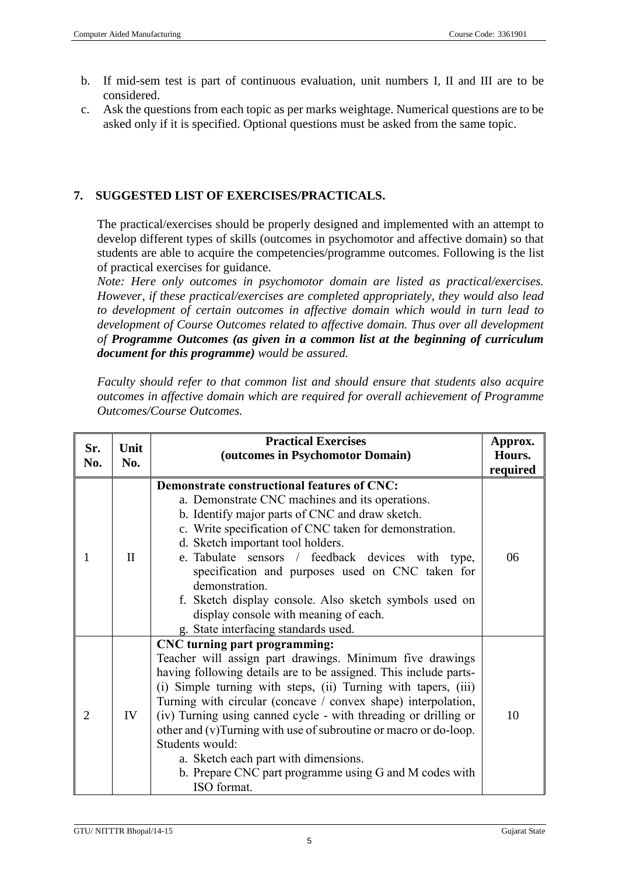- b. If mid-sem test is part of continuous evaluation, unit numbers I, II and III are to be considered.
- c. Ask the questions from each topic as per marks weightage. Numerical questions are to be asked only if it is specified. Optional questions must be asked from the same topic.

# **7. SUGGESTED LIST OF EXERCISES/PRACTICALS.**

The practical/exercises should be properly designed and implemented with an attempt to develop different types of skills (outcomes in psychomotor and affective domain) so that students are able to acquire the competencies/programme outcomes. Following is the list of practical exercises for guidance.

*Note: Here only outcomes in psychomotor domain are listed as practical/exercises. However, if these practical/exercises are completed appropriately, they would also lead to development of certain outcomes in affective domain which would in turn lead to development of Course Outcomes related to affective domain. Thus over all development of Programme Outcomes (as given in a common list at the beginning of curriculum document for this programme) would be assured.* 

*Faculty should refer to that common list and should ensure that students also acquire outcomes in affective domain which are required for overall achievement of Programme Outcomes/Course Outcomes.*

| Sr.<br>No.     | Unit<br>No.  | <b>Practical Exercises</b><br>(outcomes in Psychomotor Domain)                                                                                                                                                                                                                                                                                                                                                                                                                                                                                                               | Approx.<br>Hours.<br>required |
|----------------|--------------|------------------------------------------------------------------------------------------------------------------------------------------------------------------------------------------------------------------------------------------------------------------------------------------------------------------------------------------------------------------------------------------------------------------------------------------------------------------------------------------------------------------------------------------------------------------------------|-------------------------------|
| 1              | $\mathbf{I}$ | Demonstrate constructional features of CNC:<br>a. Demonstrate CNC machines and its operations.<br>b. Identify major parts of CNC and draw sketch.<br>c. Write specification of CNC taken for demonstration.<br>d. Sketch important tool holders.<br>e. Tabulate sensors / feedback devices with type,<br>specification and purposes used on CNC taken for<br>demonstration.<br>f. Sketch display console. Also sketch symbols used on<br>display console with meaning of each.<br>g. State interfacing standards used.                                                       | 06                            |
| $\overline{2}$ | IV           | CNC turning part programming:<br>Teacher will assign part drawings. Minimum five drawings<br>having following details are to be assigned. This include parts-<br>(i) Simple turning with steps, (ii) Turning with tapers, (iii)<br>Turning with circular (concave / convex shape) interpolation,<br>(iv) Turning using canned cycle - with threading or drilling or<br>other and (v) Turning with use of subroutine or macro or do-loop.<br>Students would:<br>a. Sketch each part with dimensions.<br>b. Prepare CNC part programme using G and M codes with<br>ISO format. | 10                            |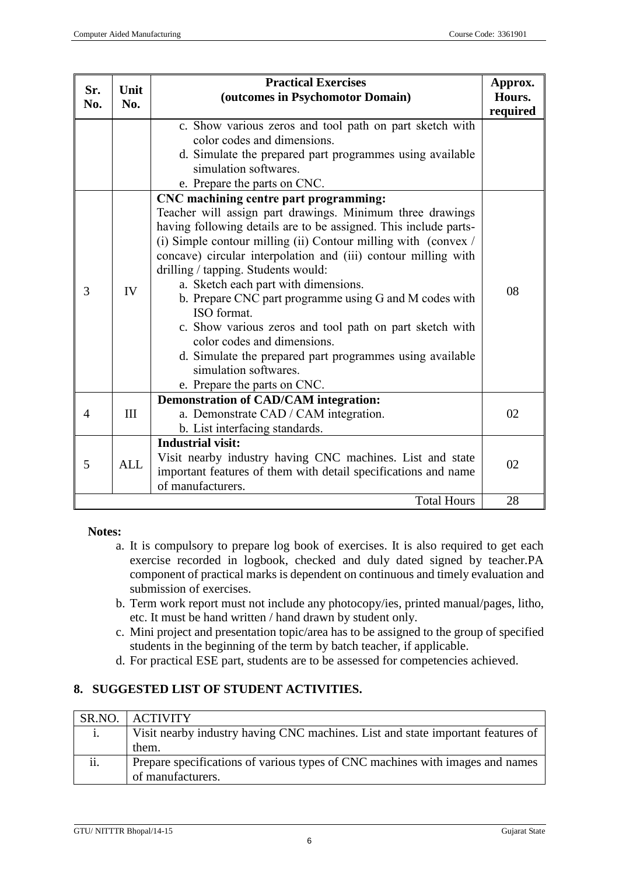| Sr.<br>No. | Unit<br>No. | <b>Practical Exercises</b><br>(outcomes in Psychomotor Domain)                                                                                                                                                                                                                                                                                                                                                                                                                                                                                                                                                                                                                                   |    |
|------------|-------------|--------------------------------------------------------------------------------------------------------------------------------------------------------------------------------------------------------------------------------------------------------------------------------------------------------------------------------------------------------------------------------------------------------------------------------------------------------------------------------------------------------------------------------------------------------------------------------------------------------------------------------------------------------------------------------------------------|----|
|            |             | c. Show various zeros and tool path on part sketch with<br>color codes and dimensions.<br>d. Simulate the prepared part programmes using available<br>simulation softwares.<br>e. Prepare the parts on CNC.                                                                                                                                                                                                                                                                                                                                                                                                                                                                                      |    |
| 3          | IV          | CNC machining centre part programming:<br>Teacher will assign part drawings. Minimum three drawings<br>having following details are to be assigned. This include parts-<br>(i) Simple contour milling (ii) Contour milling with $\frac{1}{2}$ (convex /<br>concave) circular interpolation and (iii) contour milling with<br>drilling / tapping. Students would:<br>a. Sketch each part with dimensions.<br>b. Prepare CNC part programme using G and M codes with<br>ISO format.<br>c. Show various zeros and tool path on part sketch with<br>color codes and dimensions.<br>d. Simulate the prepared part programmes using available<br>simulation softwares.<br>e. Prepare the parts on CNC. | 08 |
| 4          | III         | <b>Demonstration of CAD/CAM integration:</b><br>a. Demonstrate CAD / CAM integration.<br>b. List interfacing standards.                                                                                                                                                                                                                                                                                                                                                                                                                                                                                                                                                                          | 02 |
| 5          | <b>ALL</b>  | <b>Industrial visit:</b><br>Visit nearby industry having CNC machines. List and state<br>important features of them with detail specifications and name<br>of manufacturers.                                                                                                                                                                                                                                                                                                                                                                                                                                                                                                                     | 02 |
|            |             | <b>Total Hours</b>                                                                                                                                                                                                                                                                                                                                                                                                                                                                                                                                                                                                                                                                               | 28 |

#### **Notes:**

- a. It is compulsory to prepare log book of exercises. It is also required to get each exercise recorded in logbook, checked and duly dated signed by teacher.PA component of practical marks is dependent on continuous and timely evaluation and submission of exercises.
- b. Term work report must not include any photocopy/ies, printed manual/pages, litho, etc. It must be hand written / hand drawn by student only.
- c. Mini project and presentation topic/area has to be assigned to the group of specified students in the beginning of the term by batch teacher, if applicable.
- d. For practical ESE part, students are to be assessed for competencies achieved.

### **8. SUGGESTED LIST OF STUDENT ACTIVITIES.**

|     | SR.NO.   ACTIVITY                                                               |
|-----|---------------------------------------------------------------------------------|
| 1.  | Visit nearby industry having CNC machines. List and state important features of |
|     | them.                                                                           |
| ii. | Prepare specifications of various types of CNC machines with images and names   |
|     | of manufacturers.                                                               |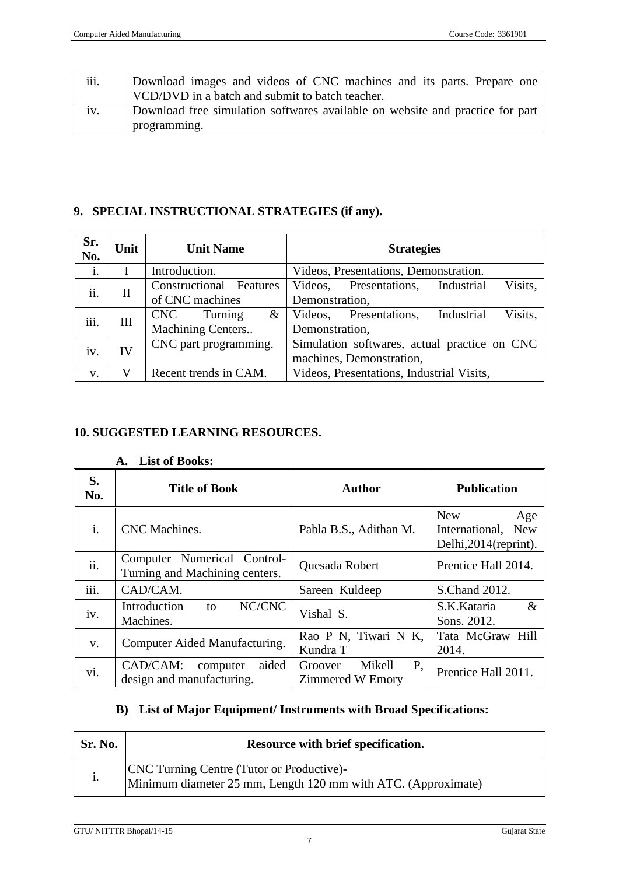| iii. | Download images and videos of CNC machines and its parts. Prepare one         |
|------|-------------------------------------------------------------------------------|
|      | VCD/DVD in a batch and submit to batch teacher.                               |
| 1V.  | Download free simulation softwares available on website and practice for part |
|      | programming.                                                                  |

### **9. SPECIAL INSTRUCTIONAL STRATEGIES (if any).**

| Sr.<br>No.     | Unit                        | <b>Unit Name</b>        | <b>Strategies</b>                                  |  |  |
|----------------|-----------------------------|-------------------------|----------------------------------------------------|--|--|
| $\mathbf{1}$ . |                             | Introduction.           | Videos, Presentations, Demonstration.              |  |  |
| ii.            | П                           | Constructional Features | Visits,<br>Presentations,<br>Industrial<br>Videos. |  |  |
|                |                             | of CNC machines         | Demonstration,                                     |  |  |
| iii.           | Ш                           | &<br>Turning<br>CNC     | Visits,<br>Industrial<br>Presentations,<br>Videos, |  |  |
|                |                             | Machining Centers       | Demonstration,                                     |  |  |
| iv.            | CNC part programming.<br>IV |                         | Simulation softwares, actual practice on CNC       |  |  |
|                |                             |                         | machines, Demonstration,                           |  |  |
| V.             | V                           | Recent trends in CAM.   | Videos, Presentations, Industrial Visits,          |  |  |

#### **10. SUGGESTED LEARNING RESOURCES.**

| S.<br>No.        | <b>Title of Book</b>                                          | <b>Author</b>                                      | <b>Publication</b>                                                |  |  |
|------------------|---------------------------------------------------------------|----------------------------------------------------|-------------------------------------------------------------------|--|--|
| $\mathbf{i}$ .   | CNC Machines.<br>Pabla B.S., Adithan M.                       |                                                    | <b>New</b><br>Age<br>International, New<br>Delhi, 2014 (reprint). |  |  |
| ii.              | Computer Numerical Control-<br>Turning and Machining centers. | Quesada Robert                                     | Prentice Hall 2014.                                               |  |  |
| $\cdots$<br>111. | CAD/CAM.                                                      | Sareen Kuldeep                                     | S.Chand 2012.                                                     |  |  |
| iv.              | NC/CNC<br>Introduction<br>to<br>Machines.                     | Vishal S.                                          | $\&$<br>S.K.Kataria<br>Sons. 2012.                                |  |  |
| V.               | Computer Aided Manufacturing.                                 | Rao P N, Tiwari N K,<br>Kundra T                   | Tata McGraw Hill<br>2014.                                         |  |  |
| V1.              | aided<br>CAD/CAM:<br>computer<br>design and manufacturing.    | P,<br>Mikell<br>Groover<br><b>Zimmered W Emory</b> | Prentice Hall 2011.                                               |  |  |

#### **A. List of Books:**

#### **B) List of Major Equipment/ Instruments with Broad Specifications:**

| Sr. No. | Resource with brief specification.                                                                         |
|---------|------------------------------------------------------------------------------------------------------------|
| 1.      | CNC Turning Centre (Tutor or Productive)-<br>Minimum diameter 25 mm, Length 120 mm with ATC. (Approximate) |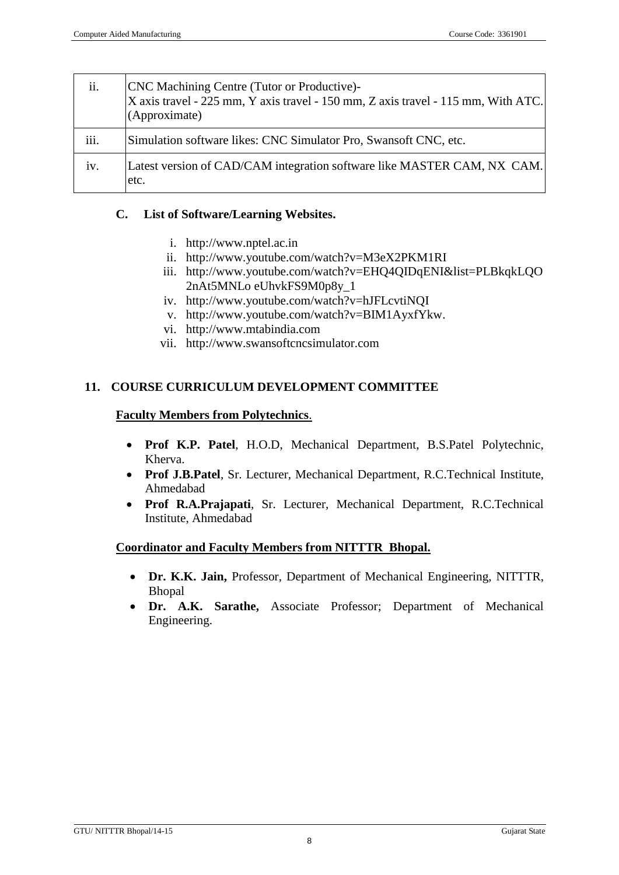| ii.  | CNC Machining Centre (Tutor or Productive)-<br>X axis travel - 225 mm, Y axis travel - 150 mm, Z axis travel - 115 mm, With ATC.<br>(Approximate) |
|------|---------------------------------------------------------------------------------------------------------------------------------------------------|
| iii. | Simulation software likes: CNC Simulator Pro, Swansoft CNC, etc.                                                                                  |
| iv.  | Latest version of CAD/CAM integration software like MASTER CAM, NX CAM.<br>etc.                                                                   |

### **C. List of Software/Learning Websites.**

- i. [http://www.nptel.ac.in](http://www.nptel.ac.in/)
- ii. <http://www.youtube.com/watch?v=M3eX2PKM1RI>
- iii. [http://www.youtube.com/watch?v=EHQ4QIDqENI&list=PLBkqkLQO](http://www.youtube.com/watch?v=EHQ4QIDqENI&list=PLBkqkLQO2nAt5MNLo%20eUhvkFS9M0p8y_1) [2nAt5MNLo eUhvkFS9M0p8y\\_1](http://www.youtube.com/watch?v=EHQ4QIDqENI&list=PLBkqkLQO2nAt5MNLo%20eUhvkFS9M0p8y_1)
- iv. <http://www.youtube.com/watch?v=hJFLcvtiNQI>
- v. [http://www.youtube.com/watch?v=BIM1AyxfYkw.](http://www.youtube.com/watch?v=BIM1AyxfYkw)
- vi. [http://www.mtabindia.com](http://www.mtabindia.com/)
- vii. [http://www.swansoftcncsimulator.com](http://www.swansoftcncsimulator.com/)

### **11. COURSE CURRICULUM DEVELOPMENT COMMITTEE**

#### **Faculty Members from Polytechnics**.

- **Prof K.P. Patel**, H.O.D, Mechanical Department, B.S.Patel Polytechnic, Kherva.
- **Prof J.B.Patel**, Sr. Lecturer, Mechanical Department, R.C.Technical Institute, Ahmedabad
- **Prof R.A.Prajapati**, Sr. Lecturer, Mechanical Department, R.C.Technical Institute, Ahmedabad

### **Coordinator and Faculty Members from NITTTR Bhopal.**

- **Dr. K.K. Jain,** Professor, Department of Mechanical Engineering, NITTTR, Bhopal
- **Dr. A.K. Sarathe,** Associate Professor; Department of Mechanical Engineering.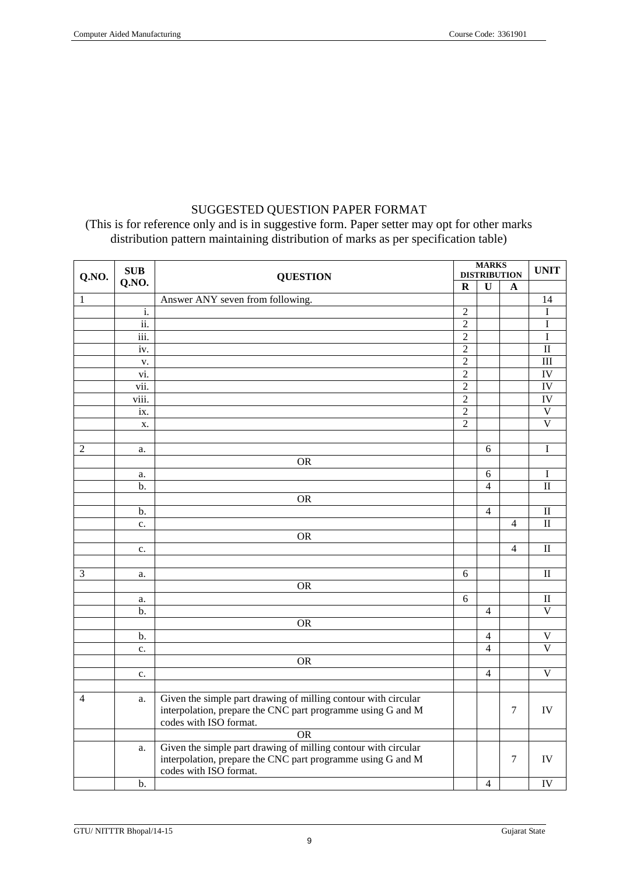# SUGGESTED QUESTION PAPER FORMAT

(This is for reference only and is in suggestive form. Paper setter may opt for other marks distribution pattern maintaining distribution of marks as per specification table)

| Q.NO.          | SUB<br>Q.NO.      | <b>QUESTION</b>                                                                                                                                         |                | <b>MARKS</b><br><b>DISTRIBUTION</b> |                |                         |
|----------------|-------------------|---------------------------------------------------------------------------------------------------------------------------------------------------------|----------------|-------------------------------------|----------------|-------------------------|
|                |                   |                                                                                                                                                         | $\mathbf R$    | $\mathbf{U}$                        | A              |                         |
| 1              |                   | Answer ANY seven from following.                                                                                                                        |                |                                     |                | 14                      |
|                | i.                |                                                                                                                                                         | $\overline{2}$ |                                     |                | I                       |
|                | ii.               |                                                                                                                                                         | $\overline{c}$ |                                     |                | I                       |
|                | iii.              |                                                                                                                                                         | $\overline{2}$ |                                     |                | $\bf I$                 |
|                | iv.               |                                                                                                                                                         | $\overline{2}$ |                                     |                | $\overline{\mathbf{I}}$ |
|                | V.                |                                                                                                                                                         | $\overline{2}$ |                                     |                | $\overline{III}$        |
|                | $\overline{vi}$ . |                                                                                                                                                         | $\overline{2}$ |                                     |                | IV                      |
|                | vii.              |                                                                                                                                                         | $\overline{c}$ |                                     |                | IV                      |
|                | viii.             |                                                                                                                                                         | $\overline{2}$ |                                     |                | $\overline{IV}$         |
|                | ix.               |                                                                                                                                                         | $\overline{c}$ |                                     |                | $\overline{\mathsf{V}}$ |
|                | X.                |                                                                                                                                                         | $\overline{2}$ |                                     |                | $\overline{\mathsf{V}}$ |
|                |                   |                                                                                                                                                         |                |                                     |                |                         |
| $\overline{2}$ | a.                |                                                                                                                                                         |                | 6                                   |                | I                       |
|                |                   | <b>OR</b>                                                                                                                                               |                |                                     |                |                         |
|                | a.                |                                                                                                                                                         |                | $\sqrt{6}$                          |                | 1                       |
|                | b.                |                                                                                                                                                         |                | $\overline{4}$                      |                | $\overline{\mathbf{I}}$ |
|                |                   | <b>OR</b>                                                                                                                                               |                |                                     |                |                         |
|                | b.                |                                                                                                                                                         |                | $\overline{4}$                      |                | $\mathbf{I}$            |
|                | c.                |                                                                                                                                                         |                |                                     | $\overline{4}$ | $\overline{\mathbf{I}}$ |
|                |                   | $\overline{\text{OR}}$                                                                                                                                  |                |                                     |                |                         |
|                | c.                |                                                                                                                                                         |                |                                     | $\overline{4}$ | $\rm II$                |
|                |                   |                                                                                                                                                         |                |                                     |                |                         |
| 3              | a.                |                                                                                                                                                         | 6              |                                     |                | $\mathbf{I}$            |
|                |                   | <b>OR</b>                                                                                                                                               |                |                                     |                |                         |
|                | a.                |                                                                                                                                                         | 6              |                                     |                | $\mathbf{I}$            |
|                | b.                |                                                                                                                                                         |                | $\overline{4}$                      |                | $\overline{V}$          |
|                |                   | <b>OR</b>                                                                                                                                               |                |                                     |                |                         |
|                | b.                |                                                                                                                                                         |                | $\overline{4}$                      |                | $\mathbf V$             |
|                | c.                |                                                                                                                                                         |                | $\overline{4}$                      |                | $\overline{\mathsf{V}}$ |
|                |                   | <b>OR</b>                                                                                                                                               |                |                                     |                |                         |
|                | c.                |                                                                                                                                                         |                | $\overline{4}$                      |                | $\mathbf{V}$            |
|                |                   |                                                                                                                                                         |                |                                     |                |                         |
| $\overline{4}$ | a.                | Given the simple part drawing of milling contour with circular<br>interpolation, prepare the CNC part programme using G and M<br>codes with ISO format. |                |                                     | $\tau$         | IV                      |
|                |                   | <b>OR</b>                                                                                                                                               |                |                                     |                |                         |
|                | a.                | Given the simple part drawing of milling contour with circular<br>interpolation, prepare the CNC part programme using G and M<br>codes with ISO format. |                |                                     | 7              | IV                      |
|                | b.                |                                                                                                                                                         |                | $\overline{4}$                      |                | $\overline{IV}$         |